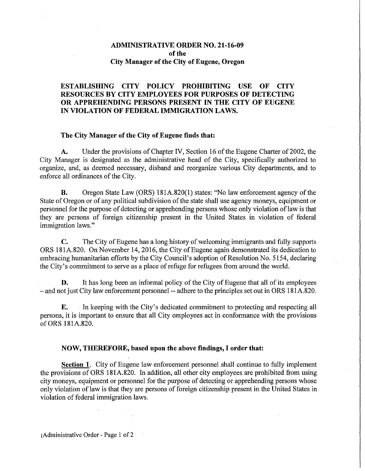## **ADMINISTRATIVE** ORDER NO. **21-16-09**  of the **City Manager of the City of Eugene, Oregon**

## **ESTABLISHING CITY POLICY PROHIBITING USE OF CITY RESOURCES BY CITY EMPLOYEES FOR PURPOSES OF DETECTING OR APPREHENDING PERSONS PRESENT IN THE CITY OF EUGENE IN VIOLATION OF FEDERAL IMMIGRATION LAWS.**

## The City Manager of the City of Eugene finds that:

**A.** Under the provisions of Chapter IV, Section 16 of the Eugene Charter of 2002, the City Manager is designated as the administrative head of the City, specifically authorized to organize, and, as deemed necessary, disband and reorganize various City departments, and to enforce all ordinances of the City.

**B.** Oregon State Law (ORS) 181A.820(1) states: "No law enforcement agency of the State of Oregon or of any political subdivision of the state shall use agency moneys, equipment or personnel for the purpose of detecting or apprehending persons whose only violation of law is that they are persons of foreign citizenship present in the United States in violation of federal immigration laws."

C. The City of Eugene has a long history of welcoming immigrants and fully supports ORS 181A.820. On November 14,2016, the City of Eugene again demonstrated its dedication to embracing humanitarian efforts by the City Council's adoption of Resolution No. 5154, declaring the City's commitment to serve as a place of refuge for refugees from around the world.

**D.** It has long been an informal policy of the City of Eugene that all of its employees - and not just City law enforcement personnel-- adhere to the principles set out in ORS 181A.820.

**E.** In keeping with the City's dedicated commitment to protecting and respecting all persons, it is important to ensure that all City employees act in conformance with the provisions ofORS 181A.820.

## **NOW, THEREFORE, based upon the above findings, I order that:**

**Section 1.** City of Eugene law enforcement personnel shall continue to fully implement the provisions ofORS 181A.820. In addition, all other city employees are prohibited from using city moneys, equipment or personnel for the purpose of detecting or apprehending persons whose only violation of law is that they are persons of foreign citizenship present in the United States in violation of federal immigration laws.